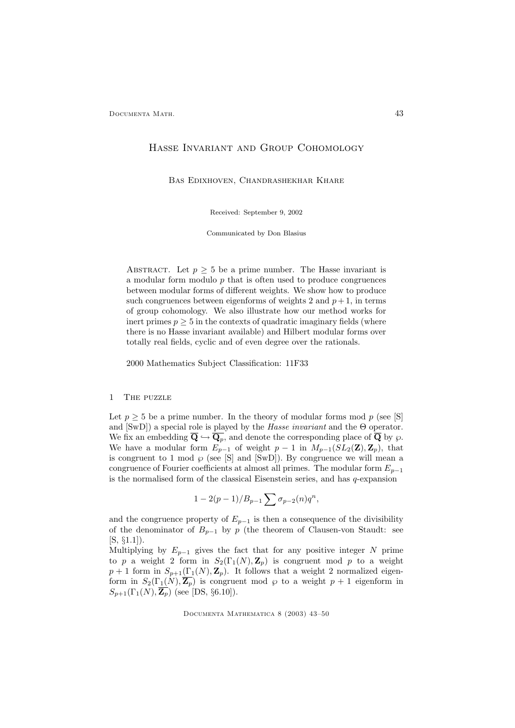# Hasse Invariant and Group Cohomology

Bas Edixhoven, Chandrashekhar Khare

Received: September 9, 2002

Communicated by Don Blasius

ABSTRACT. Let  $p > 5$  be a prime number. The Hasse invariant is a modular form modulo  $p$  that is often used to produce congruences between modular forms of different weights. We show how to produce such congruences between eigenforms of weights 2 and  $p + 1$ , in terms of group cohomology. We also illustrate how our method works for inert primes  $p \geq 5$  in the contexts of quadratic imaginary fields (where there is no Hasse invariant available) and Hilbert modular forms over totally real fields, cyclic and of even degree over the rationals.

2000 Mathematics Subject Classification: 11F33

# 1 The puzzle

Let  $p \geq 5$  be a prime number. In the theory of modular forms mod p (see [S] and  $[SwD]$ ) a special role is played by the *Hasse invariant* and the  $\Theta$  operator. We fix an embedding  $\overline{Q} \hookrightarrow \overline{Q_p}$ , and denote the corresponding place of  $\overline{Q}$  by  $\wp$ . We have a modular form  $E_{p-1}$  of weight  $p-1$  in  $M_{p-1}(SL_2(\mathbf{Z}), \mathbf{Z}_p)$ , that is congruent to 1 mod  $\wp$  (see [S] and [SwD]). By congruence we will mean a congruence of Fourier coefficients at almost all primes. The modular form  $E_{n-1}$ is the normalised form of the classical Eisenstein series, and has  $q$ -expansion

$$
1 - 2(p - 1)/B_{p-1} \sum \sigma_{p-2}(n) q^n,
$$

and the congruence property of  $E_{p-1}$  is then a consequence of the divisibility of the denominator of  $B_{p-1}$  by p (the theorem of Clausen-von Staudt: see  $[S, \S1.1]$ .

Multiplying by  $E_{p-1}$  gives the fact that for any positive integer N prime to p a weight 2 form in  $S_2(\Gamma_1(N), \mathbb{Z}_p)$  is congruent mod p to a weight  $p + 1$  form in  $S_{p+1}(\Gamma_1(N), \mathbf{Z}_p)$ . It follows that a weight 2 normalized eigenform in  $S_2(\Gamma_1(N), \overline{\mathbb{Z}_p})$  is congruent mod  $\wp$  to a weight  $p + 1$  eigenform in  $S_{p+1}(\Gamma_1(N), \overline{\mathbf{Z}_p})$  (see [DS, §6.10]).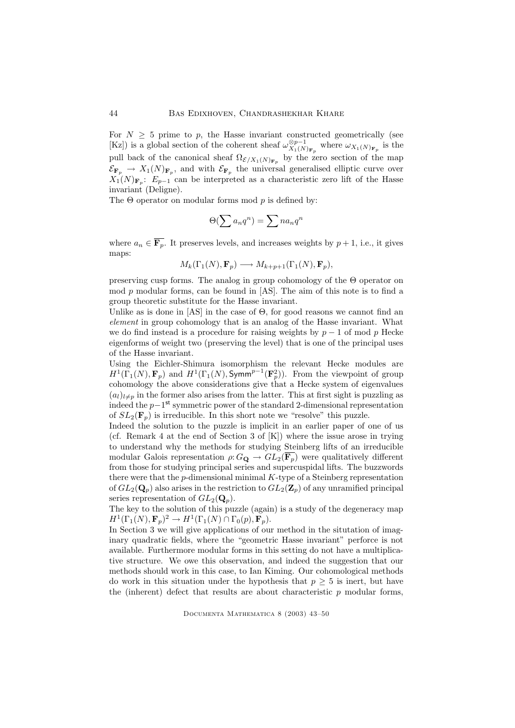For  $N \geq 5$  prime to p, the Hasse invariant constructed geometrically (see [Kz]) is a global section of the coherent sheaf  $\omega_{X_1(N)_{\mathbf{F}_p}}^{\otimes p-1}$  where  $\omega_{X_1(N)_{\mathbf{F}_p}}$  is the pull back of the canonical sheaf  $\Omega_{\mathcal{E}/X_1(N)_{\mathbf{F}_p}}$  by the zero section of the map  $\mathcal{E}_{\mathbf{F}_p} \to X_1(N)_{\mathbf{F}_p}$ , and with  $\mathcal{E}_{\mathbf{F}_p}$  the universal generalised elliptic curve over  $X_1(N)_{\mathbf{F}_p}$ :  $E_{p-1}$  can be interpreted as a characteristic zero lift of the Hasse invariant (Deligne).

The  $\Theta$  operator on modular forms mod p is defined by:

$$
\Theta(\sum a_n q^n) = \sum na_n q^n
$$

where  $a_n \in \overline{F_p}$ . It preserves levels, and increases weights by  $p + 1$ , i.e., it gives maps:

$$
M_k(\Gamma_1(N), \mathbf{F}_p) \longrightarrow M_{k+p+1}(\Gamma_1(N), \mathbf{F}_p),
$$

preserving cusp forms. The analog in group cohomology of the Θ operator on mod p modular forms, can be found in [AS]. The aim of this note is to find a group theoretic substitute for the Hasse invariant.

Unlike as is done in  $[AS]$  in the case of  $\Theta$ , for good reasons we cannot find an element in group cohomology that is an analog of the Hasse invariant. What we do find instead is a procedure for raising weights by  $p - 1$  of mod p Hecke eigenforms of weight two (preserving the level) that is one of the principal uses of the Hasse invariant.

Using the Eichler-Shimura isomorphism the relevant Hecke modules are  $H^1(\Gamma_1(N), \mathbf{F}_p)$  and  $H^1(\Gamma_1(N), \mathsf{Symm}^{p-1}(\mathbf{F}_p^2))$ . From the viewpoint of group cohomology the above considerations give that a Hecke system of eigenvalues  $(a_l)_{l\neq p}$  in the former also arises from the latter. This at first sight is puzzling as indeed the p−1 st symmetric power of the standard 2-dimensional representation of  $SL_2(\mathbf{F}_p)$  is irreducible. In this short note we "resolve" this puzzle.

Indeed the solution to the puzzle is implicit in an earlier paper of one of us (cf. Remark 4 at the end of Section 3 of [K]) where the issue arose in trying to understand why the methods for studying Steinberg lifts of an irreducible modular Galois representation  $\rho: G_{\mathbf{Q}} \to GL_2(\overline{\mathbf{F}_p})$  were qualitatively different from those for studying principal series and supercuspidal lifts. The buzzwords there were that the  $p$ -dimensional minimal  $K$ -type of a Steinberg representation of  $GL_2(\mathbf{Q}_p)$  also arises in the restriction to  $GL_2(\mathbf{Z}_p)$  of any unramified principal series representation of  $GL_2(\mathbf{Q}_n)$ .

The key to the solution of this puzzle (again) is a study of the degeneracy map  $H^1(\Gamma_1(N), \mathbf{F}_p)^2 \to H^1(\Gamma_1(N) \cap \Gamma_0(p), \mathbf{F}_p).$ 

In Section 3 we will give applications of our method in the situtation of imaginary quadratic fields, where the "geometric Hasse invariant" perforce is not available. Furthermore modular forms in this setting do not have a multiplicative structure. We owe this observation, and indeed the suggestion that our methods should work in this case, to Ian Kiming. Our cohomological methods do work in this situation under the hypothesis that  $p \geq 5$  is inert, but have the (inherent) defect that results are about characteristic  $p$  modular forms,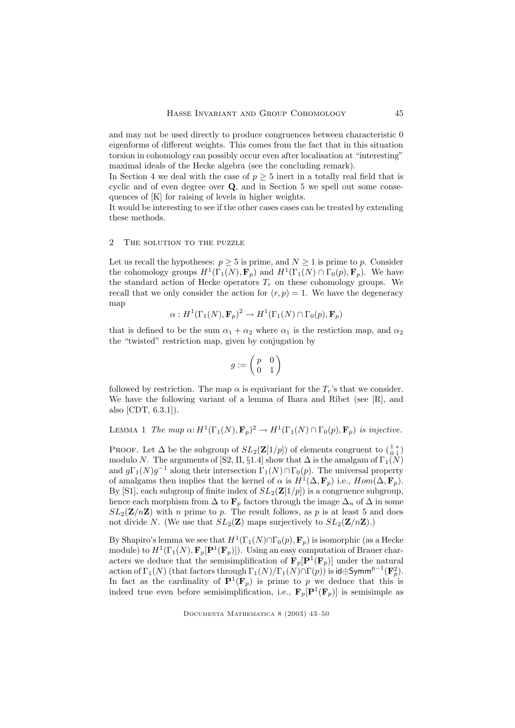and may not be used directly to produce congruences between characteristic 0 eigenforms of different weights. This comes from the fact that in this situation torsion in cohomology can possibly occur even after localisation at "interesting" maximal ideals of the Hecke algebra (see the concluding remark).

In Section 4 we deal with the case of  $p \geq 5$  inert in a totally real field that is cyclic and of even degree over Q, and in Section 5 we spell out some consequences of [K] for raising of levels in higher weights.

It would be interesting to see if the other cases cases can be treated by extending these methods.

### 2 THE SOLUTION TO THE PUZZLE

Let us recall the hypotheses:  $p \geq 5$  is prime, and  $N \geq 1$  is prime to p. Consider the cohomology groups  $H^1(\Gamma_1(N), \mathbf{F}_p)$  and  $H^1(\Gamma_1(N) \cap \Gamma_0(p), \mathbf{F}_p)$ . We have the standard action of Hecke operators  $T_r$  on these cohomology groups. We recall that we only consider the action for  $(r, p) = 1$ . We have the degeneracy map

$$
\alpha: H^1(\Gamma_1(N), \mathbf{F}_p)^2 \to H^1(\Gamma_1(N) \cap \Gamma_0(p), \mathbf{F}_p)
$$

that is defined to be the sum  $\alpha_1 + \alpha_2$  where  $\alpha_1$  is the restiction map, and  $\alpha_2$ the "twisted" restriction map, given by conjugation by

$$
g:=\left(\begin{matrix}p&0\\0&1\end{matrix}\right)
$$

followed by restriction. The map  $\alpha$  is equivariant for the  $T_r$ 's that we consider. We have the following variant of a lemma of Ihara and Ribet (see [R], and also [CDT, 6.3.1]).

LEMMA 1 The map  $\alpha$ :  $H^1(\Gamma_1(N), \mathbf{F}_p)^2 \to H^1(\Gamma_1(N) \cap \Gamma_0(p), \mathbf{F}_p)$  is injective.

PROOF. Let  $\Delta$  be the subgroup of  $SL_2(\mathbf{Z}[1/p])$  of elements congruent to  $\begin{pmatrix} 1 & * \\ 0 & 1 \end{pmatrix}$ modulo N. The arguments of [S2, II, §1.4] show that  $\Delta$  is the amalgam of  $\Gamma_1(N)$ and  $g\Gamma_1(N)g^{-1}$  along their intersection  $\Gamma_1(N)\cap\Gamma_0(p)$ . The universal property of amalgams then implies that the kernel of  $\alpha$  is  $H^1(\Delta, \mathbf{F}_p)$  i.e.,  $Hom(\Delta, \mathbf{F}_p)$ . By [S1], each subgroup of finite index of  $SL_2(\mathbf{Z}[1/p])$  is a congruence subgroup, hence each morphism from  $\Delta$  to  $\mathbf{F}_p$  factors through the image  $\Delta_n$  of  $\Delta$  in some  $SL_2(\mathbf{Z}/n\mathbf{Z})$  with *n* prime to *p*. The result follows, as *p* is at least 5 and does not divide N. (We use that  $SL_2(\mathbf{Z})$  maps surjectively to  $SL_2(\mathbf{Z}/n\mathbf{Z})$ .)

By Shapiro's lemma we see that  $H^1(\Gamma_1(N) \cap \Gamma_0(p), \mathbf{F}_p)$  is isomorphic (as a Hecke module) to  $H^1(\Gamma_1(N), \mathbf{F}_p[\mathbf{P}^1(\mathbf{F}_p)])$ . Using an easy computation of Brauer characters we deduce that the semisimplification of  $\mathbf{F}_p[\mathbf{P}^1(\mathbf{F}_p)]$  under the natural action of  $\Gamma_1(N)$  (that factors through  $\Gamma_1(N)/\Gamma_1(N) \cap \Gamma(p)$ ) is id⊕Symm<sup>p-1</sup>( $\mathbf{F}_p^2$ ). In fact as the cardinality of  $\mathbf{P}^1(\mathbf{F}_p)$  is prime to p we deduce that this is indeed true even before semisimplification, i.e.,  $\mathbf{F}_p[\mathbf{P}^1(\mathbf{F}_p)]$  is semisimple as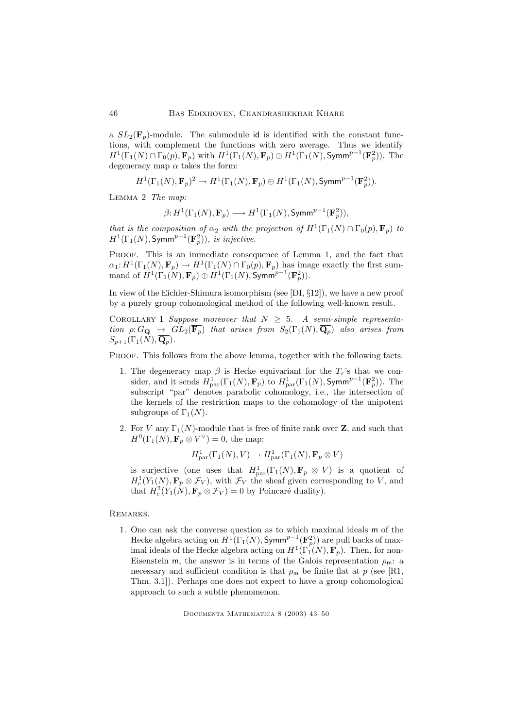a  $SL_2(\mathbf{F}_p)$ -module. The submodule id is identified with the constant functions, with complement the functions with zero average. Thus we identify  $H^1(\Gamma_1(N) \cap \Gamma_0(p), \mathbf{F}_p)$  with  $H^1(\Gamma_1(N), \mathbf{F}_p) \oplus H^1(\Gamma_1(N), \mathsf{Symm}^{p-1}(\mathbf{F}_p^2))$ . The degeneracy map  $\alpha$  takes the form:

$$
H^1(\Gamma_1(N), \mathbf{F}_p)^2 \to H^1(\Gamma_1(N), \mathbf{F}_p) \oplus H^1(\Gamma_1(N), \text{Symm}^{p-1}(\mathbf{F}_p^2)).
$$

LEMMA 2 The map:

$$
\beta \colon \! H^1(\Gamma_1(N),\mathbf{F}_p) \longrightarrow H^1(\Gamma_1(N), \operatorname{Symm}^{p-1}(\mathbf{F}_p^2)),
$$

that is the composition of  $\alpha_2$  with the projection of  $H^1(\Gamma_1(N) \cap \Gamma_0(p), \mathbf{F}_p)$  to  $H^1(\Gamma_1(N), \text{Symm}^{p-1}(\mathbf{F}^2_p)),$  is injective.

Proof. This is an immediate consequence of Lemma 1, and the fact that  $\alpha_1: H^1(\Gamma_1(N), \mathbf{F}_p) \to H^1(\Gamma_1(N) \cap \Gamma_0(p), \mathbf{F}_p)$  has image exactly the first summand of  $H^1(\Gamma_1(N), \mathbf{F}_p) \oplus H^1(\Gamma_1(N), \text{Symm}^{p-1}(\mathbf{F}_p^2)).$ 

In view of the Eichler-Shimura isomorphism (see [DI, §12]), we have a new proof by a purely group cohomological method of the following well-known result.

COROLLARY 1 Suppose moreover that  $N \geq 5$ . A semi-simple representation  $\rho: G_{\bf Q} \to GL_2(\overline{{\bf F}_p})$  that arises from  $S_2(\Gamma_1(N), \overline{{\bf Q}_p})$  also arises from  $S_{p+1}(\Gamma_1(N),\mathbf{Q}_p).$ 

PROOF. This follows from the above lemma, together with the following facts.

- 1. The degeneracy map  $\beta$  is Hecke equivariant for the  $T_r$ 's that we consider, and it sends  $H_{\text{par}}^1(\Gamma_1(N), \mathbf{F}_p)$  to  $H_{\text{par}}^1(\Gamma_1(N), \text{Symm}^{p-1}(\mathbf{F}_p^2)).$  The subscript "par" denotes parabolic cohomology, i.e., the intersection of the kernels of the restriction maps to the cohomology of the unipotent subgroups of  $\Gamma_1(N)$ .
- 2. For V any  $\Gamma_1(N)$ -module that is free of finite rank over Z, and such that  $H^0(\Gamma_1(N), \mathbf{F}_p \otimes V^{\vee}) = 0$ , the map:

$$
H_{\mathrm{par}}^1(\Gamma_1(N), V) \to H_{\mathrm{par}}^1(\Gamma_1(N), \mathbf{F}_p \otimes V)
$$

is surjective (one uses that  $H_{\text{par}}^1(\Gamma_1(N), \mathbf{F}_p \otimes V)$  is a quotient of  $H_c^1(Y_1(N), \mathbf{F}_p \otimes \mathcal{F}_V)$ , with  $\mathcal{F}_V$  the sheaf given corresponding to V, and that  $H_c^2(Y_1(N), \mathbf{F}_p \otimes \mathcal{F}_V) = 0$  by Poincaré duality).

## Remarks.

1. One can ask the converse question as to which maximal ideals m of the Hecke algebra acting on  $H^1(\Gamma_1(N), \text{Symm}^{p-1}(\mathbf{F}_p^2))$  are pull backs of maximal ideals of the Hecke algebra acting on  $H^1(\Gamma_1(N), \mathbf{F}_p)$ . Then, for non-Eisenstein m, the answer is in terms of the Galois representation  $\rho_m$ : a necessary and sufficient condition is that  $\rho_m$  be finite flat at p (see [R1, Thm. 3.1]). Perhaps one does not expect to have a group cohomological approach to such a subtle phenomenon.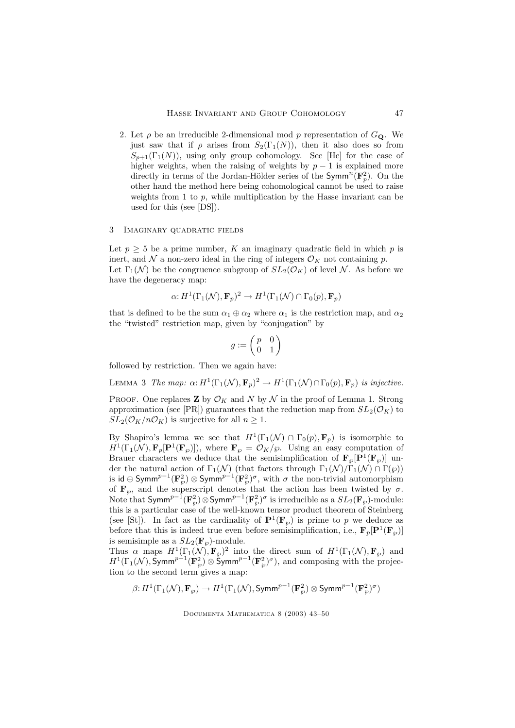2. Let  $\rho$  be an irreducible 2-dimensional mod p representation of  $G_{\mathbf{Q}}$ . We just saw that if  $\rho$  arises from  $S_2(\Gamma_1(N))$ , then it also does so from  $S_{p+1}(\Gamma_1(N))$ , using only group cohomology. See [He] for the case of higher weights, when the raising of weights by  $p - 1$  is explained more directly in terms of the Jordan-Hölder series of the Symm<sup>n</sup>( $\mathbf{F}_p^2$ ). On the other hand the method here being cohomological cannot be used to raise weights from 1 to  $p$ , while multiplication by the Hasse invariant can be used for this (see [DS]).

#### 3 Imaginary quadratic fields

Let  $p \geq 5$  be a prime number, K an imaginary quadratic field in which p is inert, and  $\mathcal N$  a non-zero ideal in the ring of integers  $\mathcal O_K$  not containing p. Let  $\Gamma_1(\mathcal{N})$  be the congruence subgroup of  $SL_2(\mathcal{O}_K)$  of level N. As before we have the degeneracy map:

$$
\alpha: H^1(\Gamma_1(\mathcal{N}), \mathbf{F}_p)^2 \to H^1(\Gamma_1(\mathcal{N}) \cap \Gamma_0(p), \mathbf{F}_p)
$$

that is defined to be the sum  $\alpha_1 \oplus \alpha_2$  where  $\alpha_1$  is the restriction map, and  $\alpha_2$ the "twisted" restriction map, given by "conjugation" by

$$
g:=\begin{pmatrix} p & 0 \\ 0 & 1 \end{pmatrix}
$$

followed by restriction. Then we again have:

LEMMA 3 The map:  $\alpha: H^1(\Gamma_1(\mathcal{N}), \mathbf{F}_p)^2 \to H^1(\Gamma_1(\mathcal{N}) \cap \Gamma_0(p), \mathbf{F}_p)$  is injective.

PROOF. One replaces **Z** by  $\mathcal{O}_K$  and N by N in the proof of Lemma 1. Strong approximation (see [PR]) guarantees that the reduction map from  $SL_2(\mathcal{O}_K)$  to  $SL_2(\mathcal{O}_K/n\mathcal{O}_K)$  is surjective for all  $n \geq 1$ .

By Shapiro's lemma we see that  $H^1(\Gamma_1(\mathcal{N}) \cap \Gamma_0(p), \mathbf{F}_p)$  is isomorphic to  $H^1(\Gamma_1(\mathcal{N}), \mathbf{F}_p[\mathbf{P}^1(\mathbf{F}_{\wp})])$ , where  $\mathbf{F}_{\wp} = \mathcal{O}_K/\wp$ . Using an easy computation of Brauer characters we deduce that the semisimplification of  $\mathbf{F}_{\varphi}[\mathbf{P}^1(\mathbf{F}_{\varphi})]$  under the natural action of  $\Gamma_1(\mathcal{N})$  (that factors through  $\Gamma_1(\mathcal{N})/\Gamma_1(\mathcal{N}) \cap \Gamma(\wp)$ ) is id ⊕ Symm $^{p-1}({\bf F}^2_\wp)\otimes$  Symm $^{p-1}({\bf F}^2_\wp)^\sigma,$  with  $\sigma$  the non-trivial automorphism of  $\mathbf{F}_{\varnothing}$ , and the superscript denotes that the action has been twisted by  $\sigma$ . Note that  $\textsf{Symm}^{p-1}(\mathbf{F}^2_\wp)\otimes \textsf{Symm}^{p-1}(\mathbf{F}^2_\wp)^\sigma$  is irreducible as a  $SL_2(\mathbf{F}_\wp)$ -module: this is a particular case of the well-known tensor product theorem of Steinberg (see [St]). In fact as the cardinality of  $\mathbf{P}^1(\mathbf{F}_{\varphi})$  is prime to p we deduce as before that this is indeed true even before semisimplification, i.e.,  $\mathbf{F}_p[\mathbf{P}^1(\mathbf{F}_p)]$ is semisimple as a  $SL_2(\mathbf{F}_{\wp})$ -module.

Thus  $\alpha$  maps  $H^1(\Gamma_1(\mathcal{N}), \mathbf{F}_{\wp})^2$  into the direct sum of  $H^1(\Gamma_1(\mathcal{N}), \mathbf{F}_{\wp})$  and  $H^1(\Gamma_1(\mathcal{N}), \text{Symm}^{p-1}(\mathbf{F}_{\wp}^2) \otimes \text{Symm}^{p-1}(\mathbf{F}_{\wp}^2)^{\sigma}),$  and composing with the projection to the second term gives a map:

$$
\beta\hbox{:}\ H^1(\Gamma_1(\mathcal{N}),\mathbf{F}_\wp)\to H^1(\Gamma_1(\mathcal{N}),\text{Symm}^{p-1}(\mathbf{F}_\wp^2)\otimes\text{Symm}^{p-1}(\mathbf{F}_\wp^2)^\sigma)
$$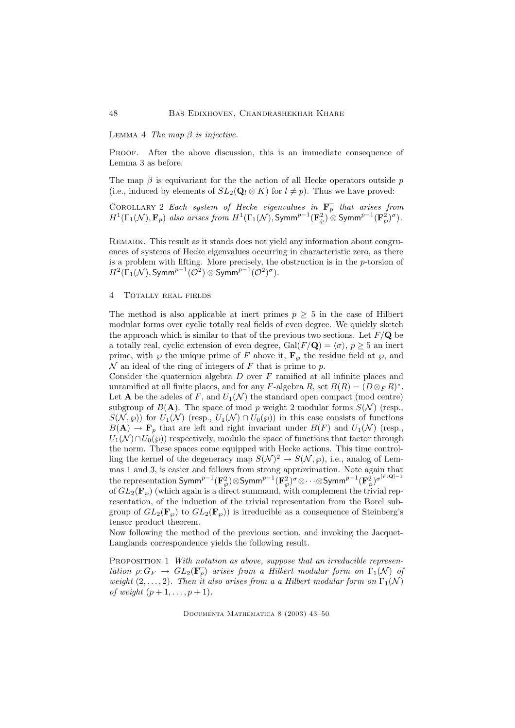LEMMA 4 The map  $\beta$  is injective.

Proof. After the above discussion, this is an immediate consequence of Lemma 3 as before.

The map  $\beta$  is equivariant for the the action of all Hecke operators outside p (i.e., induced by elements of  $SL_2(\mathbf{Q}_l \otimes K)$  for  $l \neq p$ ). Thus we have proved:

COROLLARY 2 Each system of Hecke eigenvalues in  $\mathbf{F}_p$  that arises from  $H^1(\Gamma_1(\mathcal{N}), \mathbf{F}_p)$  also arises from  $H^1(\Gamma_1(\mathcal{N}), \text{Symm}^{p-1}(\mathbf{F}_\wp^2) \overset{\sim}{\otimes} \text{Symm}^{p-1}(\mathbf{F}_\wp^2)^{\sigma}).$ 

Remark. This result as it stands does not yield any information about congruences of systems of Hecke eigenvalues occurring in characteristic zero, as there is a problem with lifting. More precisely, the obstruction is in the  $p$ -torsion of  $H^2(\Gamma_1(\mathcal{N}), \text{Symm}^{p-1}(\mathcal{O}^2) \otimes \text{Symm}^{p-1}(\mathcal{O}^2)^{\sigma}).$ 

#### 4 Totally real fields

The method is also applicable at inert primes  $p \geq 5$  in the case of Hilbert modular forms over cyclic totally real fields of even degree. We quickly sketch the approach which is similar to that of the previous two sections. Let  $F/Q$  be a totally real, cyclic extension of even degree,  $Gal(F/Q) = \langle \sigma \rangle$ ,  $p \ge 5$  an inert prime, with  $\wp$  the unique prime of F above it,  $\mathbf{F}_{\wp}$  the residue field at  $\wp$ , and  $\mathcal N$  an ideal of the ring of integers of F that is prime to p.

Consider the quaternion algebra  $D$  over  $F$  ramified at all infinite places and unramified at all finite places, and for any F-algebra R, set  $B(R) = (D \otimes_F R)^*$ . Let **A** be the adeles of F, and  $U_1(\mathcal{N})$  the standard open compact (mod centre) subgroup of  $B(A)$ . The space of mod p weight 2 modular forms  $S(\mathcal{N})$  (resp.,  $S(\mathcal{N}, \varphi)$  for  $U_1(\mathcal{N})$  (resp.,  $U_1(\mathcal{N}) \cap U_0(\varphi)$ ) in this case consists of functions  $B(\mathbf{A}) \to \mathbf{F}_p$  that are left and right invariant under  $B(F)$  and  $U_1(\mathcal{N})$  (resp.,  $U_1(\mathcal{N}) \cap U_0(\wp)$  respectively, modulo the space of functions that factor through the norm. These spaces come equipped with Hecke actions. This time controlling the kernel of the degeneracy map  $S(\mathcal{N})^2 \to S(\mathcal{N}, \wp)$ , i.e., analog of Lemmas 1 and 3, is easier and follows from strong approximation. Note again that the representation  $\textsf{Symm}^{p-1}(\mathbf{F}^2_\wp)\otimes \textsf{Symm}^{p-1}(\mathbf{F}^2_\wp)^\sigma\otimes\cdots\otimes \textsf{Symm}^{p-1}(\mathbf{F}^2_\wp)^{\sigma^{[F:\mathbf{Q}]-1}}$ of  $GL_2(\mathbf{F}_{\varphi})$  (which again is a direct summand, with complement the trivial representation, of the induction of the trivial representation from the Borel subgroup of  $GL_2(\mathbf{F}_{\wp})$  to  $GL_2(\mathbf{F}_{\wp})$  is irreducible as a consequence of Steinberg's tensor product theorem.

Now following the method of the previous section, and invoking the Jacquet-Langlands correspondence yields the following result.

PROPOSITION 1 With notation as above, suppose that an irreducible representation  $\rho: G_F \to GL_2(\overline{\mathbf{F}_p})$  arises from a Hilbert modular form on  $\Gamma_1(\mathcal{N})$  of weight  $(2, \ldots, 2)$ . Then it also arises from a a Hilbert modular form on  $\Gamma_1(\mathcal{N})$ of weight  $(p+1,\ldots,p+1)$ .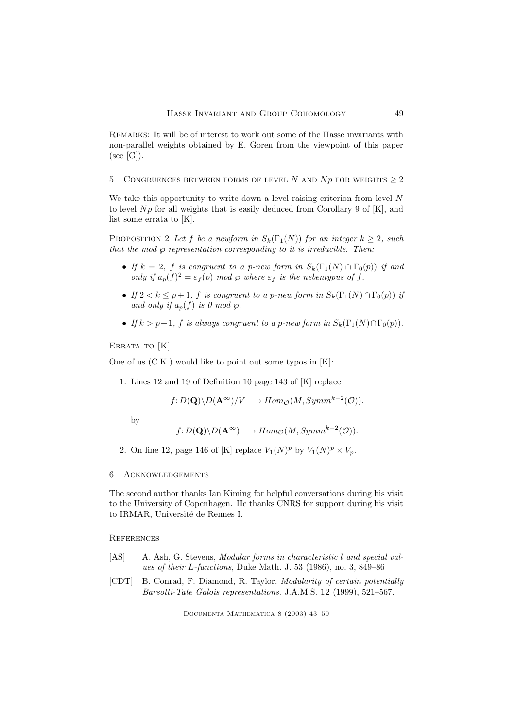REMARKS: It will be of interest to work out some of the Hasse invariants with non-parallel weights obtained by E. Goren from the viewpoint of this paper  $(see [G]).$ 

5 CONGRUENCES BETWEEN FORMS OF LEVEL N AND Np FOR WEIGHTS  $\geq 2$ 

We take this opportunity to write down a level raising criterion from level  $N$ to level  $Np$  for all weights that is easily deduced from Corollary 9 of [K], and list some errata to [K].

PROPOSITION 2 Let f be a newform in  $S_k(\Gamma_1(N))$  for an integer  $k \geq 2$ , such that the mod  $\wp$  representation corresponding to it is irreducible. Then:

- If  $k = 2$ , f is congruent to a p-new form in  $S_k(\Gamma_1(N) \cap \Gamma_0(p))$  if and only if  $a_p(f)^2 = \varepsilon_f(p) \mod \wp$  where  $\varepsilon_f$  is the nebentypus of f.
- If  $2 < k \leq p+1$ , f is congruent to a p-new form in  $S_k(\Gamma_1(N) \cap \Gamma_0(p))$  if and only if  $a_n(f)$  is 0 mod  $\wp$ .
- If  $k > p+1$ , f is always congruent to a p-new form in  $S_k(\Gamma_1(N) \cap \Gamma_0(p))$ .

ERRATA TO [K]

One of us (C.K.) would like to point out some typos in [K]:

1. Lines 12 and 19 of Definition 10 page 143 of [K] replace

$$
f: D(\mathbf{Q}) \backslash D(\mathbf{A}^{\infty})/V \longrightarrow Hom_{\mathcal{O}}(M, Symm^{k-2}(\mathcal{O})).
$$

by

$$
f: D(\mathbf{Q}) \backslash D(\mathbf{A}^{\infty}) \longrightarrow Hom_{\mathcal{O}}(M, Symm^{k-2}(\mathcal{O})).
$$

- 2. On line 12, page 146 of [K] replace  $V_1(N)^p$  by  $V_1(N)^p \times V_p$ .
- 6 Acknowledgements

The second author thanks Ian Kiming for helpful conversations during his visit to the University of Copenhagen. He thanks CNRS for support during his visit to IRMAR, Université de Rennes I.

**REFERENCES** 

- [AS] A. Ash, G. Stevens, Modular forms in characteristic l and special values of their L-functions, Duke Math. J. 53 (1986), no. 3, 849–86
- [CDT] B. Conrad, F. Diamond, R. Taylor. Modularity of certain potentially Barsotti-Tate Galois representations. J.A.M.S. 12 (1999), 521–567.